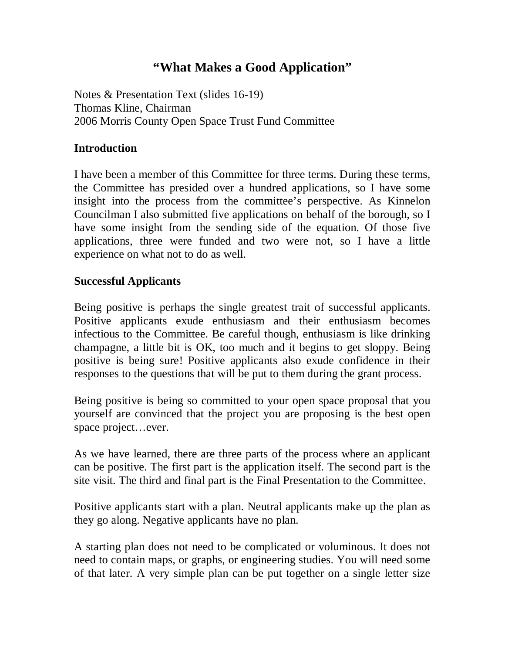# **"What Makes a Good Application"**

Notes & Presentation Text (slides 16-19) Thomas Kline, Chairman 2006 Morris County Open Space Trust Fund Committee

### **Introduction**

I have been a member of this Committee for three terms. During these terms, the Committee has presided over a hundred applications, so I have some insight into the process from the committee's perspective. As Kinnelon Councilman I also submitted five applications on behalf of the borough, so I have some insight from the sending side of the equation. Of those five applications, three were funded and two were not, so I have a little experience on what not to do as well.

### **Successful Applicants**

Being positive is perhaps the single greatest trait of successful applicants. Positive applicants exude enthusiasm and their enthusiasm becomes infectious to the Committee. Be careful though, enthusiasm is like drinking champagne, a little bit is OK, too much and it begins to get sloppy. Being positive is being sure! Positive applicants also exude confidence in their responses to the questions that will be put to them during the grant process.

Being positive is being so committed to your open space proposal that you yourself are convinced that the project you are proposing is the best open space project…ever.

As we have learned, there are three parts of the process where an applicant can be positive. The first part is the application itself. The second part is the site visit. The third and final part is the Final Presentation to the Committee.

Positive applicants start with a plan. Neutral applicants make up the plan as they go along. Negative applicants have no plan.

A starting plan does not need to be complicated or voluminous. It does not need to contain maps, or graphs, or engineering studies. You will need some of that later. A very simple plan can be put together on a single letter size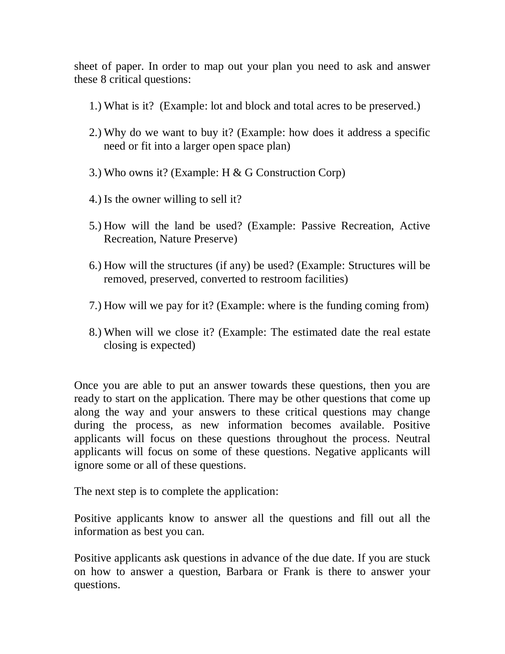sheet of paper. In order to map out your plan you need to ask and answer these 8 critical questions:

- 1.) What is it? (Example: lot and block and total acres to be preserved.)
- 2.) Why do we want to buy it? (Example: how does it address a specific need or fit into a larger open space plan)
- 3.) Who owns it? (Example: H & G Construction Corp)
- 4.) Is the owner willing to sell it?
- 5.) How will the land be used? (Example: Passive Recreation, Active Recreation, Nature Preserve)
- 6.) How will the structures (if any) be used? (Example: Structures will be removed, preserved, converted to restroom facilities)
- 7.) How will we pay for it? (Example: where is the funding coming from)
- 8.) When will we close it? (Example: The estimated date the real estate closing is expected)

Once you are able to put an answer towards these questions, then you are ready to start on the application. There may be other questions that come up along the way and your answers to these critical questions may change during the process, as new information becomes available. Positive applicants will focus on these questions throughout the process. Neutral applicants will focus on some of these questions. Negative applicants will ignore some or all of these questions.

The next step is to complete the application:

Positive applicants know to answer all the questions and fill out all the information as best you can.

Positive applicants ask questions in advance of the due date. If you are stuck on how to answer a question, Barbara or Frank is there to answer your questions.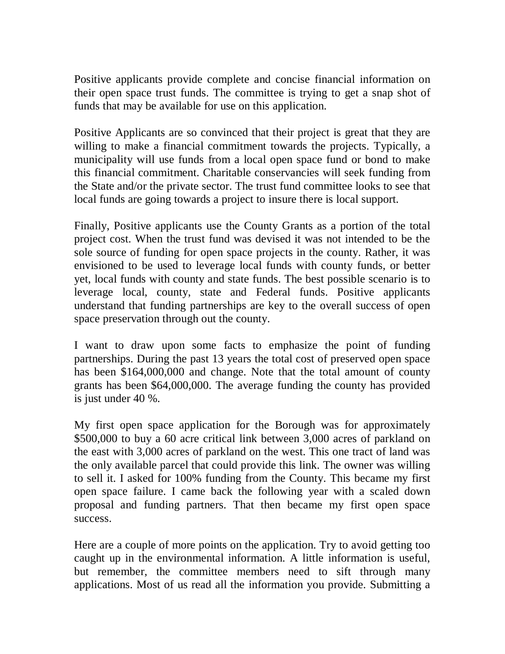Positive applicants provide complete and concise financial information on their open space trust funds. The committee is trying to get a snap shot of funds that may be available for use on this application.

Positive Applicants are so convinced that their project is great that they are willing to make a financial commitment towards the projects. Typically, a municipality will use funds from a local open space fund or bond to make this financial commitment. Charitable conservancies will seek funding from the State and/or the private sector. The trust fund committee looks to see that local funds are going towards a project to insure there is local support.

Finally, Positive applicants use the County Grants as a portion of the total project cost. When the trust fund was devised it was not intended to be the sole source of funding for open space projects in the county. Rather, it was envisioned to be used to leverage local funds with county funds, or better yet, local funds with county and state funds. The best possible scenario is to leverage local, county, state and Federal funds. Positive applicants understand that funding partnerships are key to the overall success of open space preservation through out the county.

I want to draw upon some facts to emphasize the point of funding partnerships. During the past 13 years the total cost of preserved open space has been \$164,000,000 and change. Note that the total amount of county grants has been \$64,000,000. The average funding the county has provided is just under 40 %.

My first open space application for the Borough was for approximately \$500,000 to buy a 60 acre critical link between 3,000 acres of parkland on the east with 3,000 acres of parkland on the west. This one tract of land was the only available parcel that could provide this link. The owner was willing to sell it. I asked for 100% funding from the County. This became my first open space failure. I came back the following year with a scaled down proposal and funding partners. That then became my first open space success.

Here are a couple of more points on the application. Try to avoid getting too caught up in the environmental information. A little information is useful, but remember, the committee members need to sift through many applications. Most of us read all the information you provide. Submitting a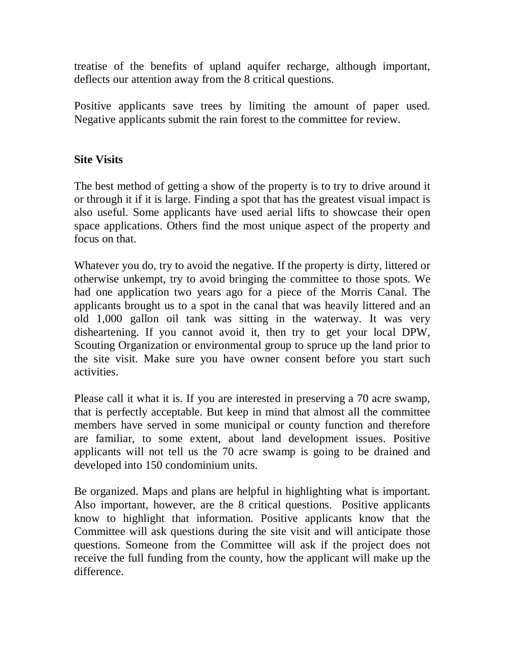treatise of the benefits of upland aquifer recharge, although important, deflects our attention away from the 8 critical questions.

Positive applicants save trees by limiting the amount of paper used. Negative applicants submit the rain forest to the committee for review.

## **Site Visits**

The best method of getting a show of the property is to try to drive around it or through it if it is large. Finding a spot that has the greatest visual impact is also useful. Some applicants have used aerial lifts to showcase their open space applications. Others find the most unique aspect of the property and focus on that.

Whatever you do, try to avoid the negative. If the property is dirty, littered or otherwise unkempt, try to avoid bringing the committee to those spots. We had one application two years ago for a piece of the Morris Canal. The applicants brought us to a spot in the canal that was heavily littered and an old 1,000 gallon oil tank was sitting in the waterway. It was very disheartening. If you cannot avoid it, then try to get your local DPW, Scouting Organization or environmental group to spruce up the land prior to the site visit. Make sure you have owner consent before you start such activities.

Please call it what it is. If you are interested in preserving a 70 acre swamp, that is perfectly acceptable. But keep in mind that almost all the committee members have served in some municipal or county function and therefore are familiar, to some extent, about land development issues. Positive applicants will not tell us the 70 acre swamp is going to be drained and developed into 150 condominium units.

Be organized. Maps and plans are helpful in highlighting what is important. Also important, however, are the 8 critical questions. Positive applicants know to highlight that information. Positive applicants know that the Committee will ask questions during the site visit and will anticipate those questions. Someone from the Committee will ask if the project does not receive the full funding from the county, how the applicant will make up the difference.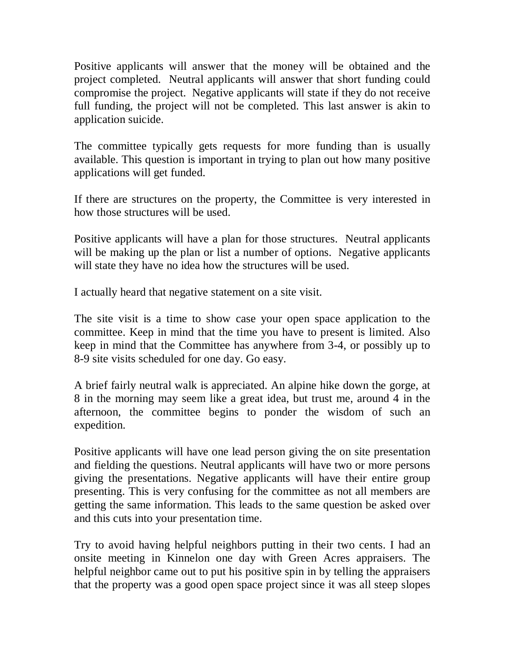Positive applicants will answer that the money will be obtained and the project completed. Neutral applicants will answer that short funding could compromise the project. Negative applicants will state if they do not receive full funding, the project will not be completed. This last answer is akin to application suicide.

The committee typically gets requests for more funding than is usually available. This question is important in trying to plan out how many positive applications will get funded.

If there are structures on the property, the Committee is very interested in how those structures will be used.

Positive applicants will have a plan for those structures. Neutral applicants will be making up the plan or list a number of options. Negative applicants will state they have no idea how the structures will be used.

I actually heard that negative statement on a site visit.

The site visit is a time to show case your open space application to the committee. Keep in mind that the time you have to present is limited. Also keep in mind that the Committee has anywhere from 3-4, or possibly up to 8-9 site visits scheduled for one day. Go easy.

A brief fairly neutral walk is appreciated. An alpine hike down the gorge, at 8 in the morning may seem like a great idea, but trust me, around 4 in the afternoon, the committee begins to ponder the wisdom of such an expedition.

Positive applicants will have one lead person giving the on site presentation and fielding the questions. Neutral applicants will have two or more persons giving the presentations. Negative applicants will have their entire group presenting. This is very confusing for the committee as not all members are getting the same information. This leads to the same question be asked over and this cuts into your presentation time.

Try to avoid having helpful neighbors putting in their two cents. I had an onsite meeting in Kinnelon one day with Green Acres appraisers. The helpful neighbor came out to put his positive spin in by telling the appraisers that the property was a good open space project since it was all steep slopes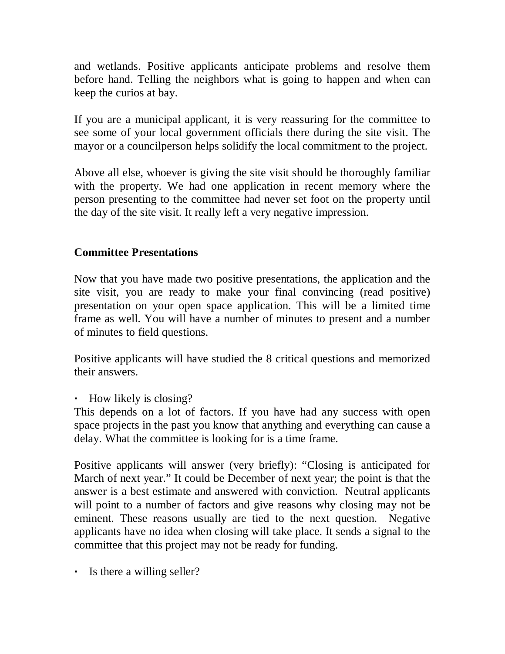and wetlands. Positive applicants anticipate problems and resolve them before hand. Telling the neighbors what is going to happen and when can keep the curios at bay.

If you are a municipal applicant, it is very reassuring for the committee to see some of your local government officials there during the site visit. The mayor or a councilperson helps solidify the local commitment to the project.

Above all else, whoever is giving the site visit should be thoroughly familiar with the property. We had one application in recent memory where the person presenting to the committee had never set foot on the property until the day of the site visit. It really left a very negative impression.

### **Committee Presentations**

Now that you have made two positive presentations, the application and the site visit, you are ready to make your final convincing (read positive) presentation on your open space application. This will be a limited time frame as well. You will have a number of minutes to present and a number of minutes to field questions.

Positive applicants will have studied the 8 critical questions and memorized their answers.

• How likely is closing?

This depends on a lot of factors. If you have had any success with open space projects in the past you know that anything and everything can cause a delay. What the committee is looking for is a time frame.

Positive applicants will answer (very briefly): "Closing is anticipated for March of next year." It could be December of next year; the point is that the answer is a best estimate and answered with conviction. Neutral applicants will point to a number of factors and give reasons why closing may not be eminent. These reasons usually are tied to the next question. Negative applicants have no idea when closing will take place. It sends a signal to the committee that this project may not be ready for funding.

• Is there a willing seller?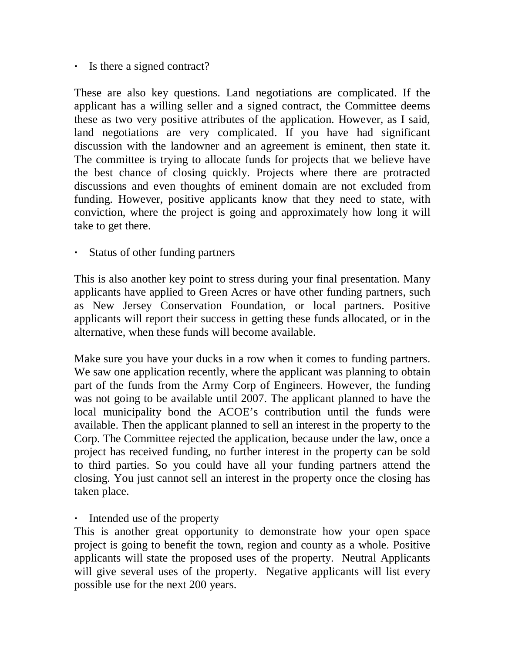Is there a signed contract?

These are also key questions. Land negotiations are complicated. If the applicant has a willing seller and a signed contract, the Committee deems these as two very positive attributes of the application. However, as I said, land negotiations are very complicated. If you have had significant discussion with the landowner and an agreement is eminent, then state it. The committee is trying to allocate funds for projects that we believe have the best chance of closing quickly. Projects where there are protracted discussions and even thoughts of eminent domain are not excluded from funding. However, positive applicants know that they need to state, with conviction, where the project is going and approximately how long it will take to get there.

Status of other funding partners

This is also another key point to stress during your final presentation. Many applicants have applied to Green Acres or have other funding partners, such as New Jersey Conservation Foundation, or local partners. Positive applicants will report their success in getting these funds allocated, or in the alternative, when these funds will become available.

Make sure you have your ducks in a row when it comes to funding partners. We saw one application recently, where the applicant was planning to obtain part of the funds from the Army Corp of Engineers. However, the funding was not going to be available until 2007. The applicant planned to have the local municipality bond the ACOE's contribution until the funds were available. Then the applicant planned to sell an interest in the property to the Corp. The Committee rejected the application, because under the law, once a project has received funding, no further interest in the property can be sold to third parties. So you could have all your funding partners attend the closing. You just cannot sell an interest in the property once the closing has taken place.

Intended use of the property

This is another great opportunity to demonstrate how your open space project is going to benefit the town, region and county as a whole. Positive applicants will state the proposed uses of the property. Neutral Applicants will give several uses of the property. Negative applicants will list every possible use for the next 200 years.